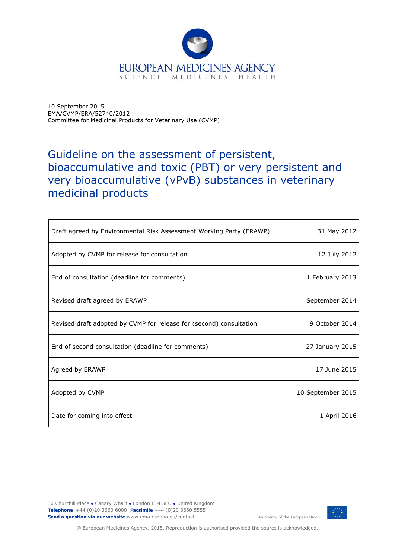

10 September 2015 EMA/CVMP/ERA/52740/2012 Committee for Medicinal Products for Veterinary Use (CVMP)

# Guideline on the assessment of persistent, bioaccumulative and toxic (PBT) or very persistent and very bioaccumulative (vPvB) substances in veterinary medicinal products

| Draft agreed by Environmental Risk Assessment Working Party (ERAWP) | 31 May 2012       |
|---------------------------------------------------------------------|-------------------|
| Adopted by CVMP for release for consultation                        | 12 July 2012      |
| End of consultation (deadline for comments)                         | 1 February 2013   |
| Revised draft agreed by ERAWP                                       | September 2014    |
| Revised draft adopted by CVMP for release for (second) consultation | 9 October 2014    |
| End of second consultation (deadline for comments)                  | 27 January 2015   |
| Agreed by ERAWP                                                     | 17 June 2015      |
| Adopted by CVMP                                                     | 10 September 2015 |
| Date for coming into effect                                         | 1 April 2016      |

30 Churchill Place **●** Canary Wharf **●** London E14 5EU **●** United Kingdom **Telephone** +44 (0)20 3660 6000 **Facsimile** +44 (0)20 3660 5555 **Send a question via our website** www.ema.europa.eu/contact



An agency of the European Union

© European Medicines Agency, 2015. Reproduction is authorised provided the source is acknowledged.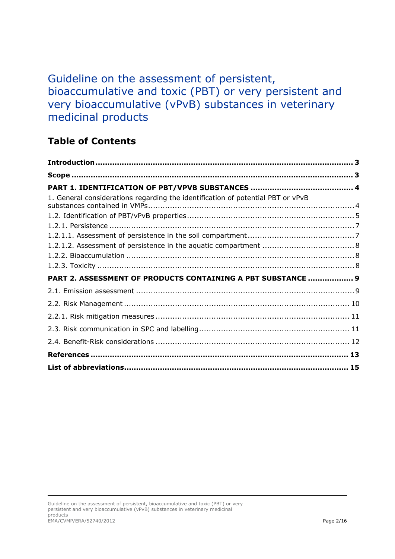# Guideline on the assessment of persistent, bioaccumulative and toxic (PBT) or very persistent and very bioaccumulative (vPvB) substances in veterinary medicinal products

## **Table of Contents**

| 1. General considerations regarding the identification of potential PBT or vPvB |  |
|---------------------------------------------------------------------------------|--|
|                                                                                 |  |
|                                                                                 |  |
|                                                                                 |  |
|                                                                                 |  |
|                                                                                 |  |
|                                                                                 |  |
| PART 2. ASSESSMENT OF PRODUCTS CONTAINING A PBT SUBSTANCE  9                    |  |
|                                                                                 |  |
|                                                                                 |  |
|                                                                                 |  |
|                                                                                 |  |
|                                                                                 |  |
|                                                                                 |  |
|                                                                                 |  |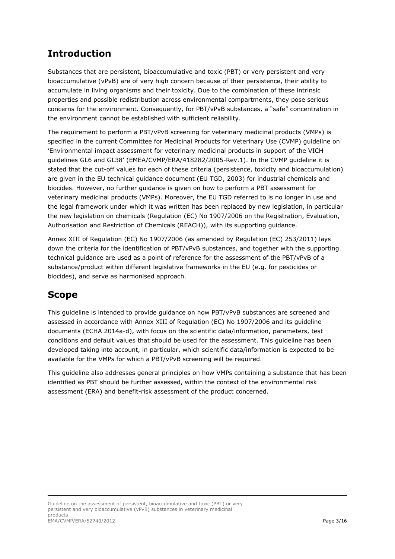## **Introduction**

Substances that are persistent, bioaccumulative and toxic (PBT) or very persistent and very bioaccumulative (vPvB) are of very high concern because of their persistence, their ability to accumulate in living organisms and their toxicity. Due to the combination of these intrinsic properties and possible redistribution across environmental compartments, they pose serious concerns for the environment. Consequently, for PBT/vPvB substances, a "safe" concentration in the environment cannot be established with sufficient reliability.

The requirement to perform a PBT/vPvB screening for veterinary medicinal products (VMPs) is specified in the current Committee for Medicinal Products for Veterinary Use (CVMP) guideline on 'Environmental impact assessment for veterinary medicinal products in support of the VICH guidelines GL6 and GL38' (EMEA/CVMP/ERA/418282/2005-Rev.1). In the CVMP guideline it is stated that the cut-off values for each of these criteria (persistence, toxicity and bioaccumulation) are given in the EU technical guidance document (EU TGD, 2003) for industrial chemicals and biocides. However, no further guidance is given on how to perform a PBT assessment for veterinary medicinal products (VMPs). Moreover, the EU TGD referred to is no longer in use and the legal framework under which it was written has been replaced by new legislation, in particular the new legislation on chemicals (Regulation (EC) No 1907/2006 on the Registration, Evaluation, Authorisation and Restriction of Chemicals (REACH)), with its supporting guidance.

Annex XIII of Regulation (EC) No 1907/2006 (as amended by Regulation (EC) 253/2011) lays down the criteria for the identification of PBT/vPvB substances, and together with the supporting technical guidance are used as a point of reference for the assessment of the PBT/vPvB of a substance/product within different legislative frameworks in the EU (e.g. for pesticides or biocides), and serve as harmonised approach.

### **Scope**

This guideline is intended to provide guidance on how PBT/vPvB substances are screened and assessed in accordance with Annex XIII of Regulation (EC) No 1907/2006 and its guideline documents (ECHA 2014a-d), with focus on the scientific data/information, parameters, test conditions and default values that should be used for the assessment. This guideline has been developed taking into account, in particular, which scientific data/information is expected to be available for the VMPs for which a PBT/vPvB screening will be required.

This guideline also addresses general principles on how VMPs containing a substance that has been identified as PBT should be further assessed, within the context of the environmental risk assessment (ERA) and benefit-risk assessment of the product concerned.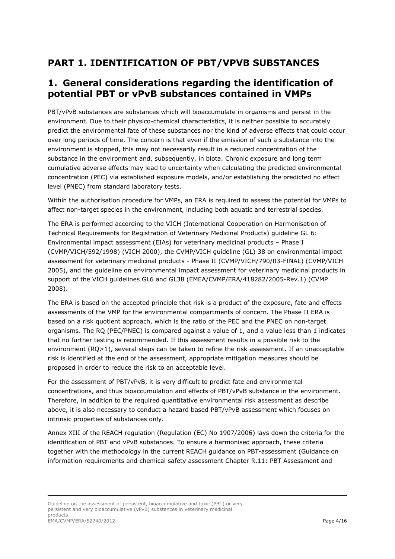### **PART 1. IDENTIFICATION OF PBT/VPVB SUBSTANCES**

### **1. General considerations regarding the identification of potential PBT or vPvB substances contained in VMPs**

PBT/vPvB substances are substances which will bioaccumulate in organisms and persist in the environment. Due to their physico-chemical characteristics, it is neither possible to accurately predict the environmental fate of these substances nor the kind of adverse effects that could occur over long periods of time. The concern is that even if the emission of such a substance into the environment is stopped, this may not necessarily result in a reduced concentration of the substance in the environment and, subsequently, in biota. Chronic exposure and long term cumulative adverse effects may lead to uncertainty when calculating the predicted environmental concentration (PEC) via established exposure models, and/or establishing the predicted no effect level (PNEC) from standard laboratory tests.

Within the authorisation procedure for VMPs, an ERA is required to assess the potential for VMPs to affect non-target species in the environment, including both aquatic and terrestrial species.

The ERA is performed according to the VICH (International Cooperation on Harmonisation of Technical Requirements for Registration of Veterinary Medicinal Products) guideline GL 6: Environmental impact assessment (EIAs) for veterinary medicinal products – Phase I (CVMP/VICH/592/1998) (VICH 2000), the CVMP/VICH guideline (GL) 38 on environmental impact assessment for veterinary medicinal products - Phase II (CVMP/VICH/790/03-FINAL) (CVMP/VICH 2005), and the guideline on environmental impact assessment for veterinary medicinal products in support of the VICH guidelines GL6 and GL38 (EMEA/CVMP/ERA/418282/2005-Rev.1) (CVMP 2008).

The ERA is based on the accepted principle that risk is a product of the exposure, fate and effects assessments of the VMP for the environmental compartments of concern. The Phase II ERA is based on a risk quotient approach, which is the ratio of the PEC and the PNEC on non-target organisms. The RQ (PEC/PNEC) is compared against a value of 1, and a value less than 1 indicates that no further testing is recommended. If this assessment results in a possible risk to the environment  $(RQ>1)$ , several steps can be taken to refine the risk assessment. If an unacceptable risk is identified at the end of the assessment, appropriate mitigation measures should be proposed in order to reduce the risk to an acceptable level.

For the assessment of PBT/vPvB, it is very difficult to predict fate and environmental concentrations, and thus bioaccumulation and effects of PBT/vPvB substance in the environment. Therefore, in addition to the required quantitative environmental risk assessment as describe above, it is also necessary to conduct a hazard based PBT/vPvB assessment which focuses on intrinsic properties of substances only.

Annex XIII of the REACH regulation (Regulation (EC) No 1907/2006) lays down the criteria for the identification of PBT and vPvB substances. To ensure a harmonised approach, these criteria together with the methodology in the current REACH guidance on PBT-assessment (Guidance on information requirements and chemical safety assessment Chapter R.11: PBT Assessment and

Guideline on the assessment of persistent, bioaccumulative and toxic (PBT) or very persistent and very bioaccumulative (vPvB) substances in veterinary medicinal products EMA/CVMP/ERA/52740/2012 Page 4/16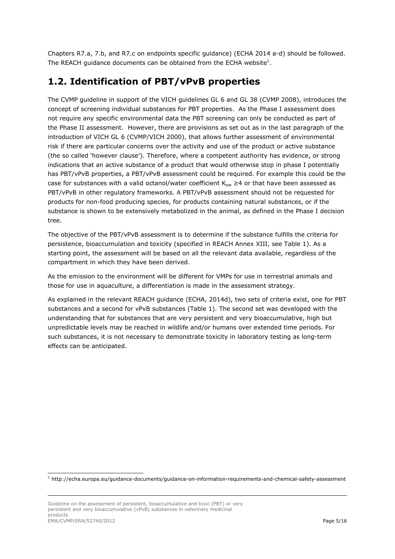Chapters R7.a, 7.b, and R7.c on endpoints specific guidance) (ECHA 2014 a-d) should be followed. The REACH guidance documents can be obtained from the ECHA website<sup>1</sup>.

### **1.2. Identification of PBT/vPvB properties**

The CVMP guideline in support of the VICH guidelines GL 6 and GL 38 (CVMP 2008), introduces the concept of screening individual substances for PBT properties. As the Phase I assessment does not require any specific environmental data the PBT screening can only be conducted as part of the Phase II assessment. However, there are provisions as set out as in the last paragraph of the introduction of VICH GL 6 (CVMP/VICH 2000), that allows further assessment of environmental risk if there are particular concerns over the activity and use of the product or active substance (the so called 'however clause'). Therefore, where a competent authority has evidence, or strong indications that an active substance of a product that would otherwise stop in phase I potentially has PBT/vPvB properties, a PBT/vPvB assessment could be required. For example this could be the case for substances with a valid octanol/water coefficient  $K_{ow} \geq 4$  or that have been assessed as PBT/vPvB in other regulatory frameworks. A PBT/vPvB assessment should not be requested for products for non-food producing species, for products containing natural substances, or if the substance is shown to be extensively metabolized in the animal, as defined in the Phase I decision tree.

The objective of the PBT/vPvB assessment is to determine if the substance fulfills the criteria for persistence, bioaccumulation and toxicity (specified in REACH Annex XIII, see Table 1). As a starting point, the assessment will be based on all the relevant data available, regardless of the compartment in which they have been derived.

As the emission to the environment will be different for VMPs for use in terrestrial animals and those for use in aquaculture, a differentiation is made in the assessment strategy.

As explained in the relevant REACH guidance (ECHA, 2014d), two sets of criteria exist, one for PBT substances and a second for vPvB substances (Table 1). The second set was developed with the understanding that for substances that are very persistent and very bioaccumulative, high but unpredictable levels may be reached in wildlife and/or humans over extended time periods. For such substances, it is not necessary to demonstrate toxicity in laboratory testing as long-term effects can be anticipated.

-

<sup>1</sup> http://echa.europa.eu/guidance-documents/guidance-on-information-requirements-and-chemical-safety-assessment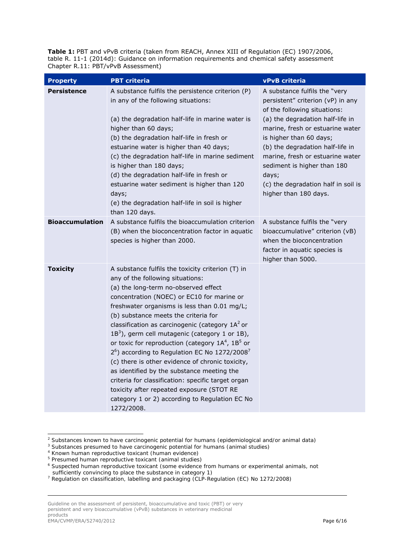Table 1: PBT and vPvB criteria (taken from REACH, Annex XIII of Regulation (EC) 1907/2006, table R. 11-1 (2014d): Guidance on information requirements and chemical safety assessment Chapter R.11: PBT/vPvB Assessment)

| <b>Property</b>        | <b>PBT</b> criteria                                                                                                                                                                                                                                                                                                                                                                                                                                                                                                                                                                                                                                                                                                                                                      | vPvB criteria                                                                                                                                                                                                                                                                                                                                                                         |
|------------------------|--------------------------------------------------------------------------------------------------------------------------------------------------------------------------------------------------------------------------------------------------------------------------------------------------------------------------------------------------------------------------------------------------------------------------------------------------------------------------------------------------------------------------------------------------------------------------------------------------------------------------------------------------------------------------------------------------------------------------------------------------------------------------|---------------------------------------------------------------------------------------------------------------------------------------------------------------------------------------------------------------------------------------------------------------------------------------------------------------------------------------------------------------------------------------|
| <b>Persistence</b>     | A substance fulfils the persistence criterion (P)<br>in any of the following situations:<br>(a) the degradation half-life in marine water is<br>higher than 60 days;<br>(b) the degradation half-life in fresh or<br>estuarine water is higher than 40 days;<br>(c) the degradation half-life in marine sediment<br>is higher than 180 days;<br>(d) the degradation half-life in fresh or<br>estuarine water sediment is higher than 120<br>days;<br>(e) the degradation half-life in soil is higher<br>than 120 days.                                                                                                                                                                                                                                                   | A substance fulfils the "very<br>persistent" criterion (vP) in any<br>of the following situations:<br>(a) the degradation half-life in<br>marine, fresh or estuarine water<br>is higher than 60 days;<br>(b) the degradation half-life in<br>marine, fresh or estuarine water<br>sediment is higher than 180<br>days;<br>(c) the degradation half in soil is<br>higher than 180 days. |
| <b>Bioaccumulation</b> | A substance fulfils the bioaccumulation criterion<br>(B) when the bioconcentration factor in aquatic<br>species is higher than 2000.                                                                                                                                                                                                                                                                                                                                                                                                                                                                                                                                                                                                                                     | A substance fulfils the "very<br>bioaccumulative" criterion (vB)<br>when the bioconcentration<br>factor in aquatic species is<br>higher than 5000.                                                                                                                                                                                                                                    |
| <b>Toxicity</b>        | A substance fulfils the toxicity criterion (T) in<br>any of the following situations:<br>(a) the long-term no-observed effect<br>concentration (NOEC) or EC10 for marine or<br>freshwater organisms is less than 0.01 mg/L;<br>(b) substance meets the criteria for<br>classification as carcinogenic (category $1A2$ or<br>$1B3$ ), germ cell mutagenic (category 1 or 1B),<br>or toxic for reproduction (category $1A4$ , $1B5$ or<br>$26$ ) according to Regulation EC No 1272/2008 <sup>7</sup><br>(c) there is other evidence of chronic toxicity,<br>as identified by the substance meeting the<br>criteria for classification: specific target organ<br>toxicity after repeated exposure (STOT RE<br>category 1 or 2) according to Regulation EC No<br>1272/2008. |                                                                                                                                                                                                                                                                                                                                                                                       |

*<sup>2</sup> Substances known to have carcinogenic potential for humans (epidemiological and/or animal data)*

-

Guideline on the assessment of persistent, bioaccumulative and toxic (PBT) or very persistent and very bioaccumulative (vPvB) substances in veterinary medicinal products EMA/CVMP/ERA/52740/2012 Page 6/16

*<sup>3</sup> Substances presumed to have carcinogenic potential for humans (animal studies)*

*<sup>4</sup> Known human reproductive toxicant (human evidence)*

*<sup>5</sup> Presumed human reproductive toxicant (animal studies)*

*<sup>6</sup> Suspected human reproductive toxicant (some evidence from humans or experimental animals, not* 

*sufficiently convincing to place the substance in category 1) 7 Regulation on classification, labelling and packaging (CLP-Regulation (EC) No 1272/2008)*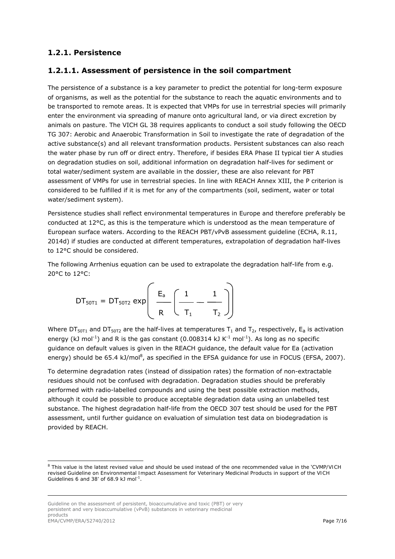#### *1.2.1. Persistence*

#### **1.2.1.1. Assessment of persistence in the soil compartment**

The persistence of a substance is a key parameter to predict the potential for long-term exposure of organisms, as well as the potential for the substance to reach the aquatic environments and to be transported to remote areas. It is expected that VMPs for use in terrestrial species will primarily enter the environment via spreading of manure onto agricultural land, or via direct excretion by animals on pasture. The VICH GL 38 requires applicants to conduct a soil study following the OECD TG 307: *Aerobic and Anaerobic Transformation in Soil* to investigate the rate of degradation of the active substance(s) and all relevant transformation products. Persistent substances can also reach the water phase by run off or direct entry. Therefore, if besides ERA Phase II typical tier A studies on degradation studies on soil, additional information on degradation half-lives for sediment or total water/sediment system are available in the dossier, these are also relevant for PBT assessment of VMPs for use in terrestrial species. In line with REACH Annex XIII, the P criterion is considered to be fulfilled if it is met for any of the compartments (soil, sediment, water or total water/sediment system).

Persistence studies shall reflect environmental temperatures in Europe and therefore preferably be conducted at 12°C, as this is the temperature which is understood as the mean temperature of European surface waters. According to the REACH PBT/vPvB assessment guideline (ECHA, R.11, 2014d) if studies are conducted at different temperatures, extrapolation of degradation half-lives to 12°C should be considered.

The following Arrhenius equation can be used to extrapolate the degradation half-life from e.g. 20°C to 12°C:

$$
\text{DT}_{50T1} = \text{DT}_{50T2} \, \text{exp}\!\left(\begin{array}{c} \text{E}_{a} \\ \hline \text{R} \end{array}\!\!\left(\begin{array}{c} \text{1} \\ \text{T}_1 \end{array}\!\!\right. - \begin{array}{c} \text{1} \\ \text{T}_2 \end{array}\!\!\right)\!\right)
$$

Where  $DT<sub>50T1</sub>$  and  $DT<sub>50T2</sub>$  are the half-lives at temperatures T<sub>1</sub> and T<sub>2</sub>, respectively, E<sub>a</sub> is activation energy (kJ mol<sup>-1</sup>) and R is the gas constant (0.008314 kJ K<sup>-1</sup> mol<sup>-1</sup>). As long as no specific guidance on default values is given in the REACH guidance, the default value for Ea (activation energy) should be 65.4 kJ/mol<sup>8</sup>, as specified in the EFSA guidance for use in FOCUS (EFSA, 2007).

To determine degradation rates (instead of dissipation rates) the formation of non-extractable residues should not be confused with degradation. Degradation studies should be preferably performed with radio-labelled compounds and using the best possible extraction methods, although it could be possible to produce acceptable degradation data using an unlabelled test substance. The highest degradation half-life from the OECD 307 test should be used for the PBT assessment, until further guidance on evaluation of simulation test data on biodegradation is provided by REACH.

Guideline on the assessment of persistent, bioaccumulative and toxic (PBT) or very persistent and very bioaccumulative (vPvB) substances in veterinary medicinal products EMA/CVMP/ERA/52740/2012 Page 7/16

-

<sup>8</sup> This value is the latest revised value and should be used instead of the one recommended value in the '*CVMP/VICH revised Guideline on Environmental Impact Assessment for Veterinary Medicinal Products in support of the VICH Guidelines 6 and 38'* of 68.9 kJ mol<sup>-1</sup>.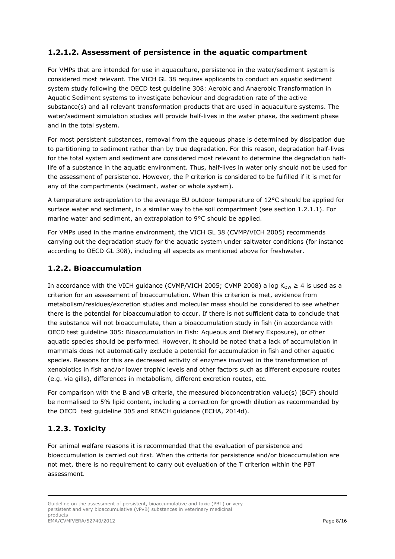### **1.2.1.2. Assessment of persistence in the aquatic compartment**

For VMPs that are intended for use in aquaculture, persistence in the water/sediment system is considered most relevant. The VICH GL 38 requires applicants to conduct an aquatic sediment system study following the OECD test guideline 308: *Aerobic and Anaerobic Transformation in Aquatic Sediment systems* to investigate behaviour and degradation rate of the active substance(s) and all relevant transformation products that are used in aquaculture systems. The water/sediment simulation studies will provide half-lives in the water phase, the sediment phase and in the total system.

For most persistent substances, removal from the aqueous phase is determined by dissipation due to partitioning to sediment rather than by true degradation. For this reason, degradation half-lives for the total system and sediment are considered most relevant to determine the degradation halflife of a substance in the aquatic environment. Thus, half-lives in water only should not be used for the assessment of persistence. However, the P criterion is considered to be fulfilled if it is met for any of the compartments (sediment, water or whole system).

A temperature extrapolation to the average EU outdoor temperature of 12°C should be applied for surface water and sediment, in a similar way to the soil compartment (see section 1.2.1.1). For marine water and sediment, an extrapolation to 9°C should be applied.

For VMPs used in the marine environment, the VICH GL 38 (CVMP/VICH 2005) recommends carrying out the degradation study for the aquatic system under saltwater conditions (for instance according to OECD GL 308), including all aspects as mentioned above for freshwater.

#### *1.2.2. Bioaccumulation*

In accordance with the VICH guidance (CVMP/VICH 2005; CVMP 2008) a log K<sub>oW</sub>  $\geq$  4 is used as a criterion for an assessment of bioaccumulation. When this criterion is met, evidence from metabolism/residues/excretion studies and molecular mass should be considered to see whether there is the potential for bioaccumulation to occur. If there is not sufficient data to conclude that the substance will not bioaccumulate, then a bioaccumulation study in fish (in accordance with OECD test guideline 305: *Bioaccumulation in Fish: Aqueous and Dietary Exposure*), or other aquatic species should be performed. However, it should be noted that a lack of accumulation in mammals does not automatically exclude a potential for accumulation in fish and other aquatic species. Reasons for this are decreased activity of enzymes involved in the transformation of xenobiotics in fish and/or lower trophic levels and other factors such as different exposure routes (e.g. via gills), differences in metabolism, different excretion routes, etc.

For comparison with the B and vB criteria, the measured bioconcentration value(s) (BCF) should be normalised to 5% lipid content, including a correction for growth dilution as recommended by the OECD test guideline 305 and REACH guidance (ECHA, 2014d).

### *1.2.3. Toxicity*

For animal welfare reasons it is recommended that the evaluation of persistence and bioaccumulation is carried out first. When the criteria for persistence and/or bioaccumulation are not met, there is no requirement to carry out evaluation of the T criterion within the PBT assessment.

Guideline on the assessment of persistent, bioaccumulative and toxic (PBT) or very persistent and very bioaccumulative (vPvB) substances in veterinary medicinal products EMA/CVMP/ERA/52740/2012 Page 8/16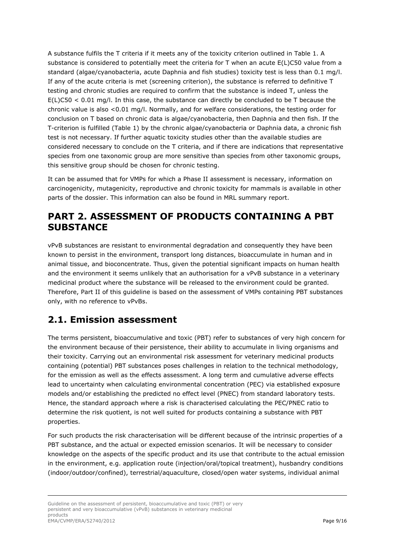A substance fulfils the T criteria if it meets any of the toxicity criterion outlined in Table 1. A substance is considered to potentially meet the criteria for T when an acute E(L)C50 value from a standard (algae/cyanobacteria, acute *Daphnia* and fish studies) toxicity test is less than 0.1 mg/l. If any of the acute criteria is met (screening criterion), the substance is referred to definitive T testing and chronic studies are required to confirm that the substance is indeed T, unless the  $E(L)CS0 < 0.01$  mg/l. In this case, the substance can directly be concluded to be T because the chronic value is also <0.01 mg/l. Normally, and for welfare considerations, the testing order for conclusion on T based on chronic data is algae/cyanobacteria, then *Daphnia* and then fish. If the T-criterion is fulfilled (Table 1) by the chronic algae/cyanobacteria or *Daphnia* data, a chronic fish test is not necessary. If further aquatic toxicity studies other than the available studies are considered necessary to conclude on the T criteria, and if there are indications that representative species from one taxonomic group are more sensitive than species from other taxonomic groups, this sensitive group should be chosen for chronic testing.

It can be assumed that for VMPs for which a Phase II assessment is necessary, information on carcinogenicity, mutagenicity, reproductive and chronic toxicity for mammals is available in other parts of the dossier. This information can also be found in MRL summary report.

### **PART 2. ASSESSMENT OF PRODUCTS CONTAINING A PBT SUBSTANCE**

vPvB substances are resistant to environmental degradation and consequently they have been known to persist in the environment, transport long distances, bioaccumulate in human and in animal tissue, and bioconcentrate. Thus, given the potential significant impacts on human health and the environment it seems unlikely that an authorisation for a vPvB substance in a veterinary medicinal product where the substance will be released to the environment could be granted. Therefore, Part II of this guideline is based on the assessment of VMPs containing PBT substances only, with no reference to vPvBs.

### **2.1. Emission assessment**

The terms persistent, bioaccumulative and toxic (PBT) refer to substances of very high concern for the environment because of their persistence, their ability to accumulate in living organisms and their toxicity. Carrying out an environmental risk assessment for veterinary medicinal products containing (potential) PBT substances poses challenges in relation to the technical methodology, for the emission as well as the effects assessment. A long term and cumulative adverse effects lead to uncertainty when calculating environmental concentration (PEC) via established exposure models and/or establishing the predicted no effect level (PNEC) from standard laboratory tests. Hence, the standard approach where a risk is characterised calculating the PEC/PNEC ratio to determine the risk quotient, is not well suited for products containing a substance with PBT properties.

For such products the risk characterisation will be different because of the intrinsic properties of a PBT substance, and the actual or expected emission scenarios. It will be necessary to consider knowledge on the aspects of the specific product and its use that contribute to the actual emission in the environment, e.g. application route (injection/oral/topical treatment), husbandry conditions (indoor/outdoor/confined), terrestrial/aquaculture, closed/open water systems, individual animal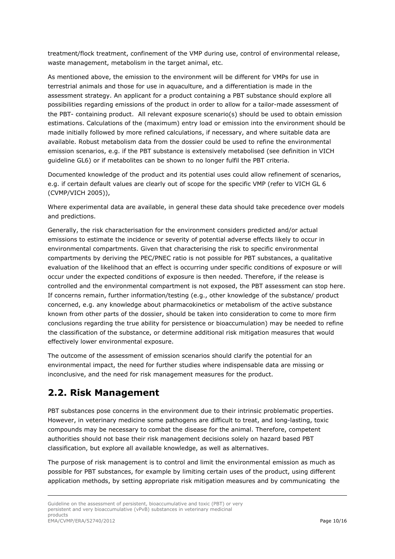treatment/flock treatment, confinement of the VMP during use, control of environmental release, waste management, metabolism in the target animal, etc.

As mentioned above, the emission to the environment will be different for VMPs for use in terrestrial animals and those for use in aquaculture, and a differentiation is made in the assessment strategy. An applicant for a product containing a PBT substance should explore all possibilities regarding emissions of the product in order to allow for a tailor-made assessment of the PBT- containing product. All relevant exposure scenario(s) should be used to obtain emission estimations. Calculations of the (maximum) entry load or emission into the environment should be made initially followed by more refined calculations, if necessary, and where suitable data are available. Robust metabolism data from the dossier could be used to refine the environmental emission scenarios, e.g. if the PBT substance is extensively metabolised (see definition in VICH guideline GL6) or if metabolites can be shown to no longer fulfil the PBT criteria.

Documented knowledge of the product and its potential uses could allow refinement of scenarios, e.g. if certain default values are clearly out of scope for the specific VMP (refer to VICH GL 6 (CVMP/VICH 2005)),

Where experimental data are available, in general these data should take precedence over models and predictions.

Generally, the risk characterisation for the environment considers predicted and/or actual emissions to estimate the incidence or severity of potential adverse effects likely to occur in environmental compartments. Given that characterising the risk to specific environmental compartments by deriving the PEC/PNEC ratio is not possible for PBT substances, a qualitative evaluation of the likelihood that an effect is occurring under specific conditions of exposure or will occur under the expected conditions of exposure is then needed. Therefore, if the release is controlled and the environmental compartment is not exposed, the PBT assessment can stop here. If concerns remain, further information/testing (e.g., other knowledge of the substance/ product concerned, e.g. any knowledge about pharmacokinetics or metabolism of the active substance known from other parts of the dossier, should be taken into consideration to come to more firm conclusions regarding the true ability for persistence or bioaccumulation) may be needed to refine the classification of the substance, or determine additional risk mitigation measures that would effectively lower environmental exposure.

The outcome of the assessment of emission scenarios should clarify the potential for an environmental impact, the need for further studies where indispensable data are missing or inconclusive, and the need for risk management measures for the product.

### **2.2. Risk Management**

PBT substances pose concerns in the environment due to their intrinsic problematic properties. However, in veterinary medicine some pathogens are difficult to treat, and long-lasting, toxic compounds may be necessary to combat the disease for the animal. Therefore, competent authorities should not base their risk management decisions solely on hazard based PBT classification, but explore all available knowledge, as well as alternatives.

The purpose of risk management is to control and limit the environmental emission as much as possible for PBT substances, for example by limiting certain uses of the product, using different application methods, by setting appropriate risk mitigation measures and by communicating the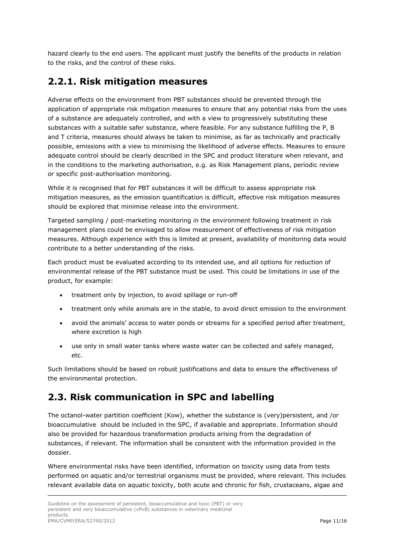hazard clearly to the end users. The applicant must justify the benefits of the products in relation to the risks, and the control of these risks.

### **2.2.1. Risk mitigation measures**

Adverse effects on the environment from PBT substances should be prevented through the application of appropriate risk mitigation measures to ensure that any potential risks from the uses of a substance are adequately controlled, and with a view to progressively substituting these substances with a suitable safer substance, where feasible. For any substance fulfilling the P, B and T criteria, measures should always be taken to minimise, as far as technically and practically possible, emissions with a view to minimising the likelihood of adverse effects. Measures to ensure adequate control should be clearly described in the SPC and product literature when relevant, and in the conditions to the marketing authorisation, e.g. as Risk Management plans, periodic review or specific post-authorisation monitoring.

While it is recognised that for PBT substances it will be difficult to assess appropriate risk mitigation measures, as the emission quantification is difficult, effective risk mitigation measures should be explored that minimise release into the environment.

Targeted sampling / post-marketing monitoring in the environment following treatment in risk management plans could be envisaged to allow measurement of effectiveness of risk mitigation measures. Although experience with this is limited at present, availability of monitoring data would contribute to a better understanding of the risks.

Each product must be evaluated according to its intended use, and all options for reduction of environmental release of the PBT substance must be used. This could be limitations in use of the product, for example:

- treatment only by injection, to avoid spillage or run-off
- treatment only while animals are in the stable, to avoid direct emission to the environment
- avoid the animals' access to water ponds or streams for a specified period after treatment, where excretion is high
- use only in small water tanks where waste water can be collected and safely managed, etc.

Such limitations should be based on robust justifications and data to ensure the effectiveness of the environmental protection.

### **2.3. Risk communication in SPC and labelling**

The octanol-water partition coefficient (Kow), whether the substance is (very)persistent, and /or bioaccumulative should be included in the SPC, if available and appropriate. Information should also be provided for hazardous transformation products arising from the degradation of substances, if relevant. The information shall be consistent with the information provided in the dossier.

Where environmental risks have been identified, information on toxicity using data from tests performed on aquatic and/or terrestrial organisms must be provided, where relevant. This includes relevant available data on aquatic toxicity, both acute and chronic for fish, crustaceans, algae and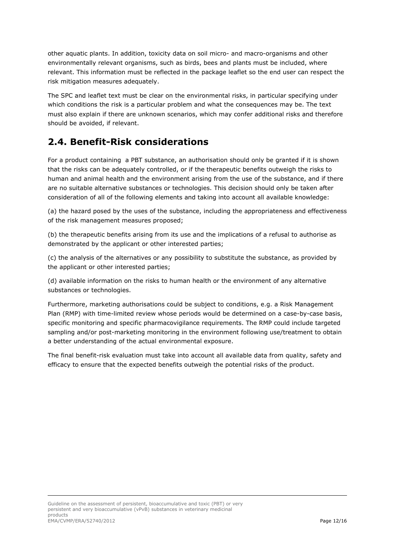other aquatic plants. In addition, toxicity data on soil micro- and macro-organisms and other environmentally relevant organisms, such as birds, bees and plants must be included, where relevant. This information must be reflected in the package leaflet so the end user can respect the risk mitigation measures adequately.

The SPC and leaflet text must be clear on the environmental risks, in particular specifying under which conditions the risk is a particular problem and what the consequences may be. The text must also explain if there are unknown scenarios, which may confer additional risks and therefore should be avoided, if relevant.

## **2.4. Benefit-Risk considerations**

For a product containing a PBT substance, an authorisation should only be granted if it is shown that the risks can be adequately controlled, or if the therapeutic benefits outweigh the risks to human and animal health and the environment arising from the use of the substance, and if there are no suitable alternative substances or technologies. This decision should only be taken after consideration of all of the following elements and taking into account all available knowledge:

(a) the hazard posed by the uses of the substance, including the appropriateness and effectiveness of the risk management measures proposed;

(b) the therapeutic benefits arising from its use and the implications of a refusal to authorise as demonstrated by the applicant or other interested parties;

(c) the analysis of the alternatives or any possibility to substitute the substance, as provided by the applicant or other interested parties;

(d) available information on the risks to human health or the environment of any alternative substances or technologies.

Furthermore, marketing authorisations could be subject to conditions, e.g. a Risk Management Plan (RMP) with time-limited review whose periods would be determined on a case-by-case basis, specific monitoring and specific pharmacovigilance requirements. The RMP could include targeted sampling and/or post-marketing monitoring in the environment following use/treatment to obtain a better understanding of the actual environmental exposure.

The final benefit-risk evaluation must take into account all available data from quality, safety and efficacy to ensure that the expected benefits outweigh the potential risks of the product.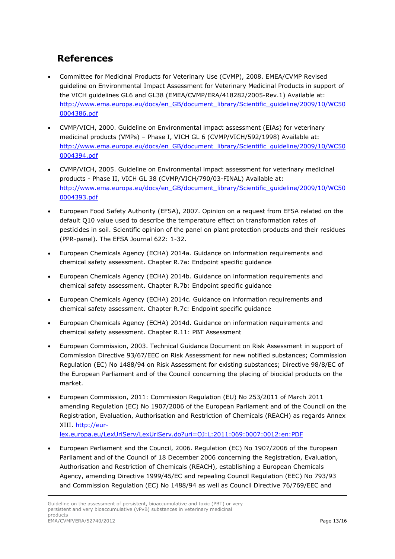## **References**

- Committee for Medicinal Products for Veterinary Use (CVMP), 2008. EMEA/CVMP Revised guideline on Environmental Impact Assessment for Veterinary Medicinal Products in support of the VICH guidelines GL6 and GL38 (EMEA/CVMP/ERA/418282/2005-Rev.1) Available at: http://www.ema.europa.eu/docs/en\_GB/document\_library/Scientific\_guideline/2009/10/WC50 0004386.pdf
- CVMP/VICH, 2000. Guideline on Environmental impact assessment (EIAs) for veterinary medicinal products (VMPs) – Phase I, VICH GL 6 (CVMP/VICH/592/1998) Available at: http://www.ema.europa.eu/docs/en\_GB/document\_library/Scientific\_guideline/2009/10/WC50 0004394.pdf
- CVMP/VICH, 2005. Guideline on Environmental impact assessment for veterinary medicinal products - Phase II, VICH GL 38 (CVMP/VICH/790/03-FINAL) Available at: http://www.ema.europa.eu/docs/en\_GB/document\_library/Scientific\_guideline/2009/10/WC50 0004393.pdf
- European Food Safety Authority (EFSA), 2007. Opinion on a request from EFSA related on the default Q10 value used to describe the temperature effect on transformation rates of pesticides in soil. Scientific opinion of the panel on plant protection products and their residues (PPR-panel). The EFSA Journal 622: 1-32.
- European Chemicals Agency (ECHA) 2014a. Guidance on information requirements and chemical safety assessment. Chapter R.7a: Endpoint specific guidance
- European Chemicals Agency (ECHA) 2014b. Guidance on information requirements and chemical safety assessment. Chapter R.7b: Endpoint specific guidance
- European Chemicals Agency (ECHA) 2014c. Guidance on information requirements and chemical safety assessment. Chapter R.7c: Endpoint specific guidance
- European Chemicals Agency (ECHA) 2014d. Guidance on information requirements and chemical safety assessment. Chapter R.11: PBT Assessment
- European Commission, 2003. Technical Guidance Document on Risk Assessment in support of Commission Directive 93/67/EEC on Risk Assessment for new notified substances; Commission Regulation (EC) No 1488/94 on Risk Assessment for existing substances; Directive 98/8/EC of the European Parliament and of the Council concerning the placing of biocidal products on the market.
- European Commission, 2011: Commission Regulation (EU) No 253/2011 of March 2011 amending Regulation (EC) No 1907/2006 of the European Parliament and of the Council on the Registration, Evaluation, Authorisation and Restriction of Chemicals (REACH) as regards Annex XIII. http://eur-

lex.europa.eu/LexUriServ/LexUriServ.do?uri=OJ:L:2011:069:0007:0012:en:PDF

 European Parliament and the Council, 2006. Regulation (EC) No 1907/2006 of the European Parliament and of the Council of 18 December 2006 concerning the Registration, Evaluation, Authorisation and Restriction of Chemicals (REACH), establishing a European Chemicals Agency, amending Directive 1999/45/EC and repealing Council Regulation (EEC) No 793/93 and Commission Regulation (EC) No 1488/94 as well as Council Directive 76/769/EEC and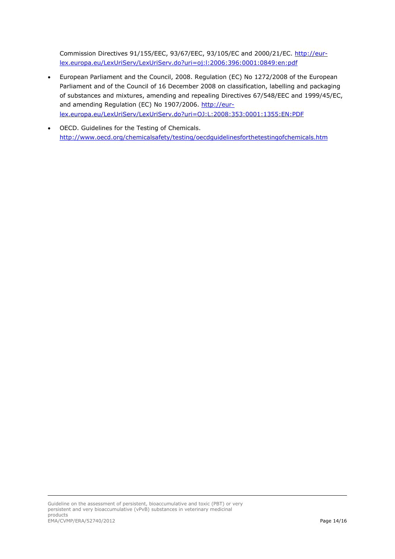Commission Directives 91/155/EEC, 93/67/EEC, 93/105/EC and 2000/21/EC. http://eurlex.europa.eu/LexUriServ/LexUriServ.do?uri=oj:l:2006:396:0001:0849:en:pdf

- European Parliament and the Council, 2008. Regulation (EC) No 1272/2008 of the European Parliament and of the Council of 16 December 2008 on classification, labelling and packaging of substances and mixtures, amending and repealing Directives 67/548/EEC and 1999/45/EC, and amending Regulation (EC) No 1907/2006. http://eurlex.europa.eu/LexUriServ/LexUriServ.do?uri=OJ:L:2008:353:0001:1355:EN:PDF
- OECD. Guidelines for the Testing of Chemicals. http://www.oecd.org/chemicalsafety/testing/oecdguidelinesforthetestingofchemicals.htm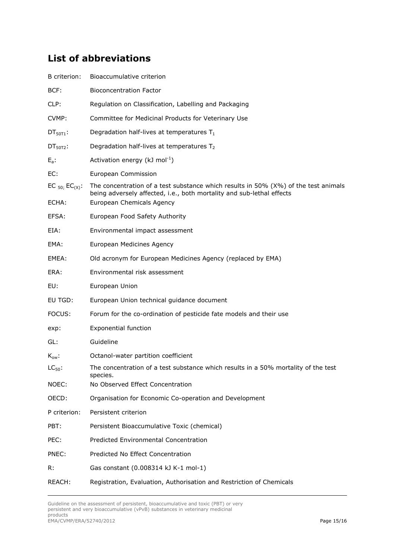# **List of abbreviations**

| B criterion:                 | Bioaccumulative criterion                                                                                                                                                                   |
|------------------------------|---------------------------------------------------------------------------------------------------------------------------------------------------------------------------------------------|
| BCF:                         | <b>Bioconcentration Factor</b>                                                                                                                                                              |
| CLP:                         | Regulation on Classification, Labelling and Packaging                                                                                                                                       |
| CVMP:                        | Committee for Medicinal Products for Veterinary Use                                                                                                                                         |
| $DT50T1$ :                   | Degradation half-lives at temperatures $T_1$                                                                                                                                                |
| $DT50T2$ :                   | Degradation half-lives at temperatures T <sub>2</sub>                                                                                                                                       |
| $E_a$ :                      | Activation energy ( $kJ \text{ mol}^{-1}$ )                                                                                                                                                 |
| EC:                          | European Commission                                                                                                                                                                         |
| EC $_{50}$ ; EC(x):<br>ECHA: | The concentration of a test substance which results in 50% $(X%)$ of the test animals<br>being adversely affected, i.e., both mortality and sub-lethal effects<br>European Chemicals Agency |
| EFSA:                        | European Food Safety Authority                                                                                                                                                              |
| EIA:                         | Environmental impact assessment                                                                                                                                                             |
| EMA:                         | European Medicines Agency                                                                                                                                                                   |
|                              |                                                                                                                                                                                             |
| EMEA:                        | Old acronym for European Medicines Agency (replaced by EMA)                                                                                                                                 |
| ERA:                         | Environmental risk assessment                                                                                                                                                               |
| EU:                          | European Union                                                                                                                                                                              |
| EU TGD:                      | European Union technical guidance document                                                                                                                                                  |
| FOCUS:                       | Forum for the co-ordination of pesticide fate models and their use                                                                                                                          |
| exp:                         | <b>Exponential function</b>                                                                                                                                                                 |
| GL:                          | Guideline                                                                                                                                                                                   |
| $K_{ow}$ :                   | Octanol-water partition coefficient                                                                                                                                                         |
| $LC_{50}$ :                  | The concentration of a test substance which results in a 50% mortality of the test<br>species.                                                                                              |
| NOEC:                        | No Observed Effect Concentration                                                                                                                                                            |
| OECD:                        | Organisation for Economic Co-operation and Development                                                                                                                                      |
| P criterion:                 | Persistent criterion                                                                                                                                                                        |
| PBT:                         | Persistent Bioaccumulative Toxic (chemical)                                                                                                                                                 |
| PEC:                         | Predicted Environmental Concentration                                                                                                                                                       |
| PNEC:                        | Predicted No Effect Concentration                                                                                                                                                           |
| R:                           | Gas constant (0.008314 kJ K-1 mol-1)                                                                                                                                                        |
| REACH:                       | Registration, Evaluation, Authorisation and Restriction of Chemicals                                                                                                                        |